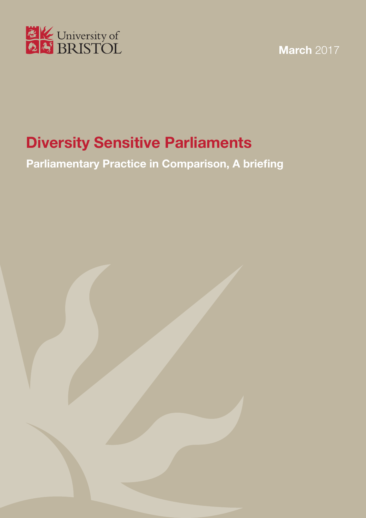

**March** 2017

# **Diversity Sensitive Parliaments**

**Parliamentary Practice in Comparison, A briefing**

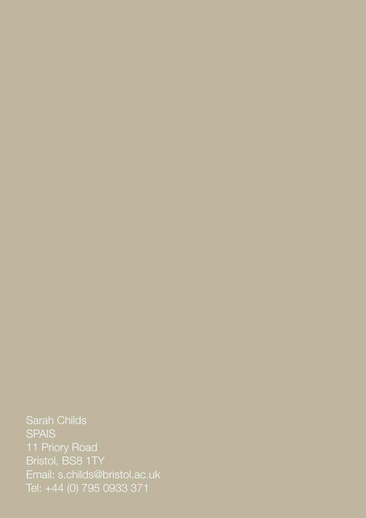Sarah Childs **SPAIS** 11 Priory Road Bristol, BS8 1TY Email: s.childs@bristol.ac.uk Tel: +44 (0) 795 0933 371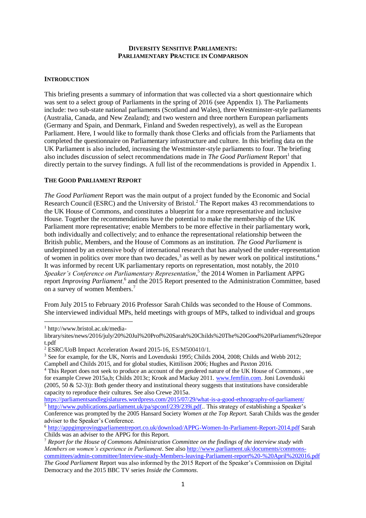#### **DIVERSITY SENSITIVE PARLIAMENTS: PARLIAMENTARY PRACTICE IN COMPARISON**

#### **INTRODUCTION**

This briefing presents a summary of information that was collected via a short questionnaire which was sent to a select group of Parliaments in the spring of 2016 (see Appendix 1). The Parliaments include: two sub-state national parliaments (Scotland and Wales), three Westminster-style parliaments (Australia, Canada, and New Zealand); and two western and three northern European parliaments (Germany and Spain, and Denmark, Finland and Sweden respectively), as well as the European Parliament. Here, I would like to formally thank those Clerks and officials from the Parliaments that completed the questionnaire on Parliamentary infrastructure and culture. In this briefing data on the UK Parliament is also included, increasing the Westminster-style parliaments to four. The briefing also includes discussion of select recommendations made in *The Good Parliament* Report<sup>1</sup> that directly pertain to the survey findings. A full list of the recommendations is provided in Appendix 1.

## **THE GOOD PARLIAMENT REPORT**

*The Good Parliament* Report was the main output of a project funded by the Economic and Social Research Council (ESRC) and the University of Bristol.<sup>2</sup> The Report makes 43 recommendations to the UK House of Commons, and constitutes a blueprint for a more representative and inclusive House. Together the recommendations have the potential to make the membership of the UK Parliament more representative; enable Members to be more effective in their parliamentary work, both individually and collectively; and to enhance the representational relationship between the British public, Members, and the House of Commons as an institution. *The Good Parliament* is underpinned by an extensive body of international research that has analysed the under-representation of women in politics over more than two decades,<sup>3</sup> as well as by newer work on political institutions.<sup>4</sup> It was informed by recent UK parliamentary reports on representation, most notably, the 2010 Speaker's Conference on Parliamentary Representation,<sup>5</sup> the 2014 Women in Parliament APPG report *Improving Parliament*,<sup>6</sup> and the 2015 Report presented to the Administration Committee, based on a survey of women Members.<sup>7</sup>

From July 2015 to February 2016 Professor Sarah Childs was seconded to the House of Commons. She interviewed individual MPs, held meetings with groups of MPs, talked to individual and groups

1 <sup>1</sup> http://www.bristol.ac.uk/media-

library/sites/news/2016/july/20%20Jul%20Prof%20Sarah%20Childs%20The%20Good%20Parliament%20repor t.pdf

<sup>2</sup> ESRC/UoB Impact Acceleration Award 2015-16, ES/M500410/1.

<sup>&</sup>lt;sup>3</sup> See for example, for the UK, Norris and Lovenduski 1995; Childs 2004, 2008; Childs and Webb 2012; Campbell and Childs 2015, and for global studies, Kittilison 2006; Hughes and Paxton 2016.

<sup>4</sup> This Report does not seek to produce an account of the gendered nature of the UK House of Commons , see for example Crewe 2015a,b; Childs 2013c; Krook and Mackay 2011. [www.femfiin.com.](http://www.femfiin.com/) Joni Lovenduski  $(2005, 50 \& 52-3)$ : Both gender theory and institutional theory suggests that institutions have considerable capacity to reproduce their cultures. See also Crewe 2015a.

<https://parliamentsandlegislatures.wordpress.com/2015/07/29/what-is-a-good-ethnography-of-parliament/> <sup>5</sup> [http://www.publications.parliament.uk/pa/spconf/239/239i.pdf..](http://www.publications.parliament.uk/pa/spconf/239/239i.pdf) This strategy of establishing a Speaker's

Conference was prompted by the 2005 Hansard Society *Women at the Top Report.* Sarah Childs was the gender adviser to the Speaker's Conference.

<sup>6</sup> <http://appgimprovingparliamentreport.co.uk/download/APPG-Women-In-Parliament-Report-2014.pdf> Sarah Childs was an adviser to the APPG for this Report.

<sup>7</sup> *Report for the House of Commons Administration Committee on the findings of the interview study with Members on women's experience in Parliament*. See also [http://www.parliament.uk/documents/commons](http://www.parliament.uk/documents/commons-committees/admin-committee/Interview-study-Members-leaving-Parliament-report%20-%20April%202016.pdf)[committees/admin-committee/Interview-study-Members-leaving-Parliament-report%20-%20April%202016.pdf](http://www.parliament.uk/documents/commons-committees/admin-committee/Interview-study-Members-leaving-Parliament-report%20-%20April%202016.pdf) *The Good Parliament* Report was also informed by the 2015 Report of the Speaker's Commission on Digital Democracy and the 2015 BBC TV series *Inside the Commons*.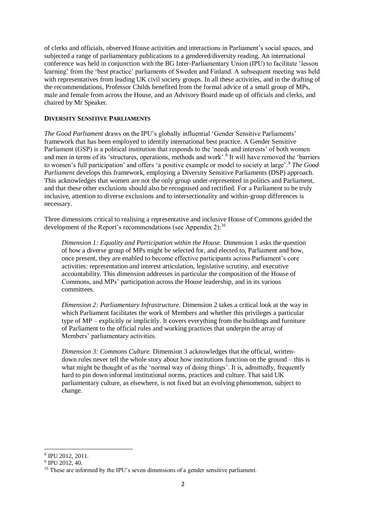of clerks and officials, observed House activities and interactions in Parliament's social spaces, and subjected a range of parliamentary publications to a gendered/diversity reading. An international conference was held in conjunction with the BG Inter-Parliamentary Union (IPU) to facilitate 'lesson learning' from the 'best practice' parliaments of Sweden and Finland. A subsequent meeting was held with representatives from leading UK civil society groups. In all these activities, and in the drafting of the recommendations, Professor Childs benefited from the formal advice of a small group of MPs, male and female from across the House, and an Advisory Board made up of officials and clerks, and chaired by Mr Speaker.

#### **DIVERSITY SENSITIVE PARLIAMENTS**

*The Good Parliament* draws on the IPU's globally influential 'Gender Sensitive Parliaments' framework that has been employed to identify international best practice. A Gender Sensitive Parliament (GSP) is a political institution that responds to the 'needs and interests' of both women and men in terms of its 'structures, operations, methods and work'.<sup>8</sup> It will have removed the 'barriers' to women's full participation' and offers 'a positive example or model to society at large'.<sup>9</sup> *The Good Parliament* develops this framework, employing a Diversity Sensitive Parliaments (DSP) approach. This acknowledges that women are not the only group under-represented in politics and Parliament, and that these other exclusions should also be recognised and rectified. For a Parliament to be truly inclusive, attention to diverse exclusions and to intersectionality and within-group differences is necessary.

Three dimensions critical to realising a representative and inclusive House of Commons guided the development of the Report's recommendations (see Appendix 2): $^{10}$ 

*Dimension 1: Equality and Participation within the House.* Dimension 1 asks the question of how a diverse group of MPs might be selected for, and elected to, Parliament and how, once present, they are enabled to become effective participants across Parliament's core activities: representation and interest articulation, legislative scrutiny, and executive accountability. This dimension addresses in particular the composition of the House of Commons, and MPs' participation across the House leadership, and in its various committees.

*Dimension 2: Parliamentary Infrastructure.* Dimension 2 takes a critical look at the way in which Parliament facilitates the work of Members and whether this privileges a particular type of MP – explicitly or implicitly. It covers everything from the buildings and furniture of Parliament to the official rules and working practices that underpin the array of Members' parliamentary activities.

*Dimension 3: Commons Culture.* Dimension 3 acknowledges that the official, writtendown rules never tell the whole story about how institutions function on the ground – this is what might be thought of as the 'normal way of doing things'. It is, admittedly, frequently hard to pin down informal institutional norms, practices and culture. That said UK parliamentary culture, as elsewhere, is not fixed but an evolving phenomenon, subject to change.

1

<sup>8</sup> IPU 2012, 2011.

<sup>&</sup>lt;sup>9</sup> IPU 2012, 40.

<sup>&</sup>lt;sup>10</sup> These are informed by the IPU's seven dimensions of a gender sensitive parliament.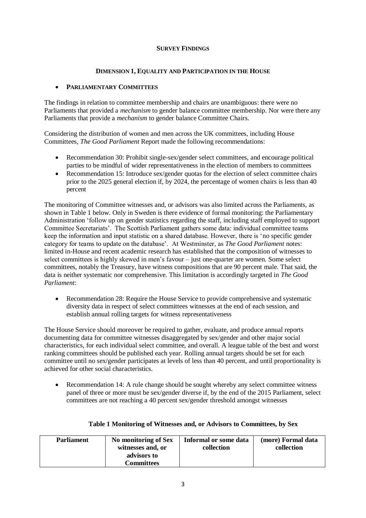## **SURVEY FINDINGS**

## **DIMENSION 1, EQUALITY AND PARTICIPATION IN THE HOUSE**

## **PARLIAMENTARY COMMITTEES**

The findings in relation to committee membership and chairs are unambiguous: there were no Parliaments that provided a *mechanism* to gender balance committee membership. Nor were there any Parliaments that provide a *mechanism* to gender balance Committee Chairs.

Considering the distribution of women and men across the UK committees, including House Committees, *The Good Parliament* Report made the following recommendations:

- Recommendation 30: Prohibit single-sex/gender select committees, and encourage political parties to be mindful of wider representativeness in the election of members to committees
- Recommendation 15: Introduce sex/gender quotas for the election of select committee chairs prior to the 2025 general election if, by 2024, the percentage of women chairs is less than 40 percent

The monitoring of Committee witnesses and, or advisors was also limited across the Parliaments, as shown in Table 1 below. Only in Sweden is there evidence of formal monitoring: the Parliamentary Administration 'follow up on gender statistics regarding the staff, including staff employed to support Committee Secretariats'. The Scottish Parliament gathers some data: individual committee teams keep the information and input statistic on a shared database. However, there is 'no specific gender category for teams to update on the database'. At Westminster, as *The Good Parliament* notes: limited in-House and recent academic research has established that the composition of witnesses to select committees is highly skewed in men's favour – just one-quarter are women. Some select committees, notably the Treasury, have witness compositions that are 90 percent male. That said, the data is neither systematic nor comprehensive. This limitation is accordingly targeted in *The Good Parliament*:

 Recommendation 28: Require the House Service to provide comprehensive and systematic diversity data in respect of select committees witnesses at the end of each session, and establish annual rolling targets for witness representativeness

The House Service should moreover be required to gather, evaluate, and produce annual reports documenting data for committee witnesses disaggregated by sex/gender and other major social characteristics, for each individual select committee, and overall. A league table of the best and worst ranking committees should be published each year. Rolling annual targets should be set for each committee until no sex/gender participates at levels of less than 40 percent, and until proportionality is achieved for other social characteristics.

 Recommendation 14: A rule change should be sought whereby any select committee witness panel of three or more must be sex/gender diverse if, by the end of the 2015 Parliament, select committees are not reaching a 40 percent sex/gender threshold amongst witnesses

| <b>Parliament</b> | No monitoring of Sex<br>witnesses and, or | Informal or some data<br>collection | (more) Formal data<br>collection |
|-------------------|-------------------------------------------|-------------------------------------|----------------------------------|
|                   | advisors to                               |                                     |                                  |
|                   | Committees                                |                                     |                                  |

#### **Table 1 Monitoring of Witnesses and, or Advisors to Committees, by Sex**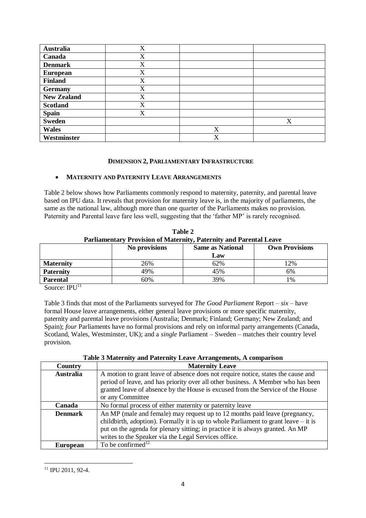| <b>Australia</b>   | X |   |   |
|--------------------|---|---|---|
| Canada             | X |   |   |
| <b>Denmark</b>     | X |   |   |
| <b>European</b>    | X |   |   |
| <b>Finland</b>     | X |   |   |
| <b>Germany</b>     | X |   |   |
| <b>New Zealand</b> | X |   |   |
| <b>Scotland</b>    | X |   |   |
| <b>Spain</b>       | X |   |   |
| <b>Sweden</b>      |   |   | X |
| <b>Wales</b>       |   | X |   |
| Westminster        |   | X |   |

## **DIMENSION 2, PARLIAMENTARY INFRASTRUCTURE**

## **MATERNITY AND PATERNITY LEAVE ARRANGEMENTS**

Table 2 below shows how Parliaments commonly respond to maternity, paternity, and parental leave based on IPU data. It reveals that provision for maternity leave is, in the majority of parliaments, the same as the national law, although more than one quarter of the Parliaments makes no provision. Paternity and Parental leave fare less well, suggesting that the 'father MP' is rarely recognised.

| Parliamentary Provision of Maternity, Paternity and Parental Leave |                                                                   |     |     |  |
|--------------------------------------------------------------------|-------------------------------------------------------------------|-----|-----|--|
|                                                                    | No provisions<br><b>Same as National</b><br><b>Own Provisions</b> |     |     |  |
|                                                                    |                                                                   | Law |     |  |
| <b>Maternity</b>                                                   | 26%                                                               | 62% | 12% |  |
| <b>Paternity</b>                                                   | 49%                                                               | 45% | 6%  |  |
| <b>Parental</b>                                                    | 60%                                                               | 39% | 1%  |  |

**Table 2**

Source:  $IPU<sup>11</sup>$ 

Table 3 finds that most of the Parliaments surveyed for *The Good Parliament* Report – *six* – have formal House leave arrangements, either general leave provisions or more specific maternity, paternity and parental leave provisions (Australia; Denmark; Finland; Germany; New Zealand; and Spain); *four* Parliaments have no formal provisions and rely on informal party arrangements (Canada, Scotland, Wales, Westminster, UK); and a *single* Parliament – Sweden – matches their country level provision.

|  | Table 3 Maternity and Paternity Leave Arrangements, A comparison |  |
|--|------------------------------------------------------------------|--|
|  |                                                                  |  |

| Country          | <b>Maternity Leave</b>                                                                |  |
|------------------|---------------------------------------------------------------------------------------|--|
| <b>Australia</b> | A motion to grant leave of absence does not require notice, states the cause and      |  |
|                  | period of leave, and has priority over all other business. A Member who has been      |  |
|                  | granted leave of absence by the House is excused from the Service of the House        |  |
|                  | or any Committee                                                                      |  |
| Canada           | No formal process of either maternity or paternity leave                              |  |
| <b>Denmark</b>   | An MP (male and female) may request up to 12 months paid leave (pregnancy,            |  |
|                  | childbirth, adoption). Formally it is up to whole Parliament to grant leave $-$ it is |  |
|                  | put on the agenda for plenary sitting; in practice it is always granted. An MP        |  |
|                  | writes to the Speaker via the Legal Services office.                                  |  |
| <b>European</b>  | To be confirmed <sup>12</sup>                                                         |  |

<sup>&</sup>lt;sup>11</sup> IPU 2011, 92-4.

**.**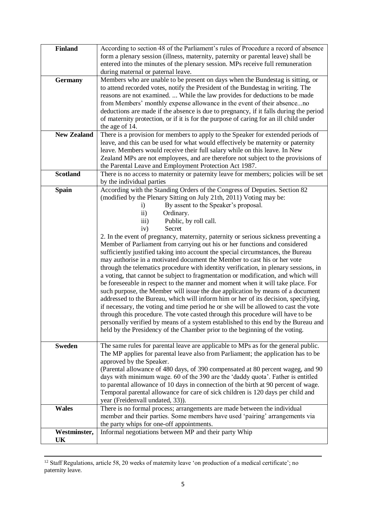| <b>Finland</b>     | According to section 48 of the Parliament's rules of Procedure a record of absence<br>form a plenary session (illness, maternity, paternity or parental leave) shall be<br>entered into the minutes of the plenary session. MPs receive full remuneration<br>during maternal or paternal leave.                                                                                                                                                                                                                                                                                                                                                                                                                                                                                                                                                                                                                                                                                                                                                                                                                                                                                                               |
|--------------------|---------------------------------------------------------------------------------------------------------------------------------------------------------------------------------------------------------------------------------------------------------------------------------------------------------------------------------------------------------------------------------------------------------------------------------------------------------------------------------------------------------------------------------------------------------------------------------------------------------------------------------------------------------------------------------------------------------------------------------------------------------------------------------------------------------------------------------------------------------------------------------------------------------------------------------------------------------------------------------------------------------------------------------------------------------------------------------------------------------------------------------------------------------------------------------------------------------------|
| <b>Germany</b>     | Members who are unable to be present on days when the Bundestag is sitting, or<br>to attend recorded votes, notify the President of the Bundestag in writing. The<br>reasons are not examined.  While the law provides for deductions to be made<br>from Members' monthly expense allowance in the event of their absenceno<br>deductions are made if the absence is due to pregnancy, if it falls during the period<br>of maternity protection, or if it is for the purpose of caring for an ill child under<br>the age of 14.                                                                                                                                                                                                                                                                                                                                                                                                                                                                                                                                                                                                                                                                               |
| <b>New Zealand</b> | There is a provision for members to apply to the Speaker for extended periods of<br>leave, and this can be used for what would effectively be maternity or paternity                                                                                                                                                                                                                                                                                                                                                                                                                                                                                                                                                                                                                                                                                                                                                                                                                                                                                                                                                                                                                                          |
|                    | leave. Members would receive their full salary while on this leave. In New                                                                                                                                                                                                                                                                                                                                                                                                                                                                                                                                                                                                                                                                                                                                                                                                                                                                                                                                                                                                                                                                                                                                    |
|                    | Zealand MPs are not employees, and are therefore not subject to the provisions of                                                                                                                                                                                                                                                                                                                                                                                                                                                                                                                                                                                                                                                                                                                                                                                                                                                                                                                                                                                                                                                                                                                             |
|                    | the Parental Leave and Employment Protection Act 1987.                                                                                                                                                                                                                                                                                                                                                                                                                                                                                                                                                                                                                                                                                                                                                                                                                                                                                                                                                                                                                                                                                                                                                        |
| <b>Scotland</b>    | There is no access to maternity or paternity leave for members; policies will be set<br>by the individual parties                                                                                                                                                                                                                                                                                                                                                                                                                                                                                                                                                                                                                                                                                                                                                                                                                                                                                                                                                                                                                                                                                             |
| <b>Spain</b>       | According with the Standing Orders of the Congress of Deputies. Section 82                                                                                                                                                                                                                                                                                                                                                                                                                                                                                                                                                                                                                                                                                                                                                                                                                                                                                                                                                                                                                                                                                                                                    |
|                    | (modified by the Plenary Sitting on July 21th, 2011) Voting may be:                                                                                                                                                                                                                                                                                                                                                                                                                                                                                                                                                                                                                                                                                                                                                                                                                                                                                                                                                                                                                                                                                                                                           |
|                    | By assent to the Speaker's proposal.<br>$\mathbf{i}$                                                                                                                                                                                                                                                                                                                                                                                                                                                                                                                                                                                                                                                                                                                                                                                                                                                                                                                                                                                                                                                                                                                                                          |
|                    | Ordinary.<br>$\ddot{\text{ii}})$                                                                                                                                                                                                                                                                                                                                                                                                                                                                                                                                                                                                                                                                                                                                                                                                                                                                                                                                                                                                                                                                                                                                                                              |
|                    | iii)<br>Public, by roll call.<br>Secret                                                                                                                                                                                                                                                                                                                                                                                                                                                                                                                                                                                                                                                                                                                                                                                                                                                                                                                                                                                                                                                                                                                                                                       |
|                    | iv)                                                                                                                                                                                                                                                                                                                                                                                                                                                                                                                                                                                                                                                                                                                                                                                                                                                                                                                                                                                                                                                                                                                                                                                                           |
| <b>Sweden</b>      | 2. In the event of pregnancy, maternity, paternity or serious sickness preventing a<br>Member of Parliament from carrying out his or her functions and considered<br>sufficiently justified taking into account the special circumstances, the Bureau<br>may authorise in a motivated document the Member to cast his or her vote<br>through the telematics procedure with identity verification, in plenary sessions, in<br>a voting, that cannot be subject to fragmentation or modification, and which will<br>be foreseeable in respect to the manner and moment when it will take place. For<br>such purpose, the Member will issue the due application by means of a document<br>addressed to the Bureau, which will inform him or her of its decision, specifying,<br>if necessary, the voting and time period he or she will be allowed to cast the vote<br>through this procedure. The vote casted through this procedure will have to be<br>personally verified by means of a system established to this end by the Bureau and<br>held by the Presidency of the Chamber prior to the beginning of the voting.<br>The same rules for parental leave are applicable to MPs as for the general public. |
|                    | The MP applies for parental leave also from Parliament; the application has to be<br>approved by the Speaker.<br>(Parental allowance of 480 days, of 390 compensated at 80 percent wageg, and 90<br>days with minimum wage. 60 of the 390 are the 'daddy quota'. Father is entitled<br>to parental allowance of 10 days in connection of the birth at 90 percent of wage.<br>Temporal parental allowance for care of sick children is 120 days per child and<br>year (Freidenvall undated, 33)).                                                                                                                                                                                                                                                                                                                                                                                                                                                                                                                                                                                                                                                                                                              |
| <b>Wales</b>       | There is no formal process; arrangements are made between the individual<br>member and their parties. Some members have used 'pairing' arrangements via<br>the party whips for one-off appointments.                                                                                                                                                                                                                                                                                                                                                                                                                                                                                                                                                                                                                                                                                                                                                                                                                                                                                                                                                                                                          |
| Westminster,       | Informal negotiations between MP and their party Whip                                                                                                                                                                                                                                                                                                                                                                                                                                                                                                                                                                                                                                                                                                                                                                                                                                                                                                                                                                                                                                                                                                                                                         |
| UK                 |                                                                                                                                                                                                                                                                                                                                                                                                                                                                                                                                                                                                                                                                                                                                                                                                                                                                                                                                                                                                                                                                                                                                                                                                               |

<sup>1</sup> <sup>12</sup> Staff Regulations, article 58, 20 weeks of maternity leave 'on production of a medical certificate'; no paternity leave.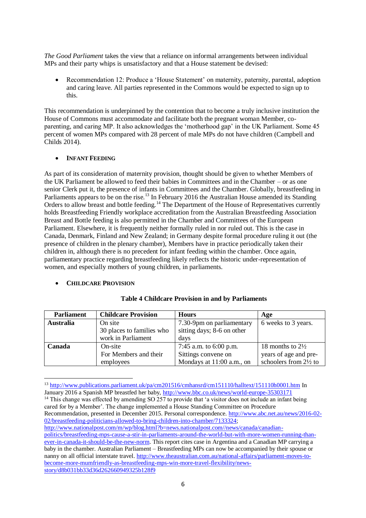*The Good Parliament* takes the view that a reliance on informal arrangements between individual MPs and their party whips is unsatisfactory and that a House statement be devised:

 Recommendation 12: Produce a 'House Statement' on maternity, paternity, parental, adoption and caring leave. All parties represented in the Commons would be expected to sign up to this.

This recommendation is underpinned by the contention that to become a truly inclusive institution the House of Commons must accommodate and facilitate both the pregnant woman Member, coparenting, and caring MP. It also acknowledges the 'motherhood gap' in the UK Parliament. Some 45 percent of women MPs compared with 28 percent of male MPs do not have children (Campbell and Childs 2014).

## **•** INFANT **FEEDING**

As part of its consideration of maternity provision, thought should be given to whether Members of the UK Parliament be allowed to feed their babies in Committees and in the Chamber – or as one senior Clerk put it, the presence of infants in Committees and the Chamber. Globally, breastfeeding in Parliaments appears to be on the rise.<sup>13</sup> In February 2016 the Australian House amended its Standing Orders to allow breast and bottle feeding.<sup>14</sup> The Department of the House of Representatives currently holds Breastfeeding Friendly workplace accreditation from the Australian Breastfeeding Association Breast and Bottle feeding is also permitted in the Chamber and Committees of the European Parliament. Elsewhere, it is frequently neither formally ruled in nor ruled out. This is the case in Canada, Denmark, Finland and New Zealand; in Germany despite formal procedure ruling it out (the presence of children in the plenary chamber), Members have in practice periodically taken their children in, although there is no precedent for infant feeding within the chamber. Once again, parliamentary practice regarding breastfeeding likely reflects the historic under-representation of women, and especially mothers of young children, in parliaments.

#### **CHILDCARE PROVISION**

**.** 

| <b>Parliament</b> | <b>Childcare Provision</b> | <b>Hours</b>               | Age                         |
|-------------------|----------------------------|----------------------------|-----------------------------|
| <b>Australia</b>  | On site                    | 7.30-9pm on parliamentary  | 6 weeks to 3 years.         |
|                   | 30 places to families who  | sitting days; 8-6 on other |                             |
|                   | work in Parliament         | days                       |                             |
| Canada            | On-site                    | 7:45 a.m. to $6:00$ p.m.   | 18 months to $2\frac{1}{2}$ |
|                   | For Members and their      | Sittings convene on        | years of age and pre-       |
|                   | employees                  | Mondays at 11:00 a.m., on  | schoolers from 2½ to        |

#### **Table 4 Childcare Provision in and by Parliaments**

[http://www.nationalpost.com/m/wp/blog.html?b=news.nationalpost.com//news/canada/canadian-](http://www.nationalpost.com/m/wp/blog.html?b=news.nationalpost.com//news/canada/canadian-politics/breastfeeding-mps-cause-a-stir-in-parliaments-around-the-world-but-with-more-women-running-than-ever-in-canada-it-should-be-the-new-norm)

<sup>13</sup> <http://www.publications.parliament.uk/pa/cm201516/cmhansrd/cm151110/halltext/151110h0001.htm> In January 2016 a Spanish MP breastfed her baby,<http://www.bbc.co.uk/news/world-europe-35303171> <sup>14</sup> This change was effected by amending SO 257 to provide that 'a visitor does not include an infant being cared for by a Member'. The change implemented a House Standing Committee on Procedure Recommendation, presented in December 2015. Personal correspondence. [http://www.abc.net.au/news/2016-02-](http://www.abc.net.au/news/2016-02-02/breastfeeding-politicians-allowed-to-bring-children-into-chamber/7133324) [02/breastfeeding-politicians-allowed-to-bring-children-into-chamber/7133324;](http://www.abc.net.au/news/2016-02-02/breastfeeding-politicians-allowed-to-bring-children-into-chamber/7133324)

[politics/breastfeeding-mps-cause-a-stir-in-parliaments-around-the-world-but-with-more-women-running-than](http://www.nationalpost.com/m/wp/blog.html?b=news.nationalpost.com//news/canada/canadian-politics/breastfeeding-mps-cause-a-stir-in-parliaments-around-the-world-but-with-more-women-running-than-ever-in-canada-it-should-be-the-new-norm)[ever-in-canada-it-should-be-the-new-norm.](http://www.nationalpost.com/m/wp/blog.html?b=news.nationalpost.com//news/canada/canadian-politics/breastfeeding-mps-cause-a-stir-in-parliaments-around-the-world-but-with-more-women-running-than-ever-in-canada-it-should-be-the-new-norm) This report cites case in Argentina and a Canadian MP carrying a baby in the chamber. Australian Parliament – Breastfeeding MPs can now be accompanied by their spouse or nanny on all official interstate travel. [http://www.theaustralian.com.au/national-affairs/parliament-moves-to](http://www.theaustralian.com.au/national-affairs/parliament-moves-to-become-more-mumfriendly-as-breastfeeding-mps-win-more-travel-flexibility/news-story/d8b031bb33d36d262660949325b128f9)[become-more-mumfriendly-as-breastfeeding-mps-win-more-travel-flexibility/news](http://www.theaustralian.com.au/national-affairs/parliament-moves-to-become-more-mumfriendly-as-breastfeeding-mps-win-more-travel-flexibility/news-story/d8b031bb33d36d262660949325b128f9)[story/d8b031bb33d36d262660949325b128f9](http://www.theaustralian.com.au/national-affairs/parliament-moves-to-become-more-mumfriendly-as-breastfeeding-mps-win-more-travel-flexibility/news-story/d8b031bb33d36d262660949325b128f9)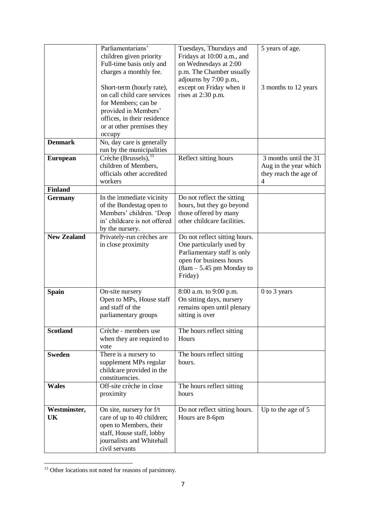|                    | Parliamentarians'                                      | Tuesdays, Thursdays and                          | 5 years of age.          |
|--------------------|--------------------------------------------------------|--------------------------------------------------|--------------------------|
|                    | children given priority                                | Fridays at 10:00 a.m., and                       |                          |
|                    | Full-time basis only and                               | on Wednesdays at 2:00                            |                          |
|                    | charges a monthly fee.                                 | p.m. The Chamber usually                         |                          |
|                    |                                                        | adjourns by 7:00 p.m.,                           |                          |
|                    | Short-term (hourly rate),                              | except on Friday when it                         | 3 months to 12 years     |
|                    | on call child care services                            | rises at 2:30 p.m.                               |                          |
|                    | for Members; can be                                    |                                                  |                          |
|                    | provided in Members'                                   |                                                  |                          |
|                    | offices, in their residence                            |                                                  |                          |
|                    | or at other premises they                              |                                                  |                          |
| <b>Denmark</b>     | occupy<br>No, day care is generally                    |                                                  |                          |
|                    | run by the municipalities                              |                                                  |                          |
| <b>European</b>    | Crèche (Brussels), $15$                                | Reflect sitting hours                            | 3 months until the 31    |
|                    | children of Members,                                   |                                                  | Aug in the year which    |
|                    | officials other accredited                             |                                                  | they reach the age of    |
|                    | workers                                                |                                                  | $\overline{\mathcal{A}}$ |
| <b>Finland</b>     |                                                        |                                                  |                          |
| <b>Germany</b>     | In the immediate vicinity                              | Do not reflect the sitting                       |                          |
|                    | of the Bundestag open to                               | hours, but they go beyond                        |                          |
|                    | Members' children. 'Drop                               | those offered by many                            |                          |
|                    | in' childcare is not offered                           | other childcare facilities.                      |                          |
|                    | by the nursery.                                        |                                                  |                          |
| <b>New Zealand</b> | Privately-run crèches are                              | Do not reflect sitting hours.                    |                          |
|                    | in close proximity                                     | One particularly used by                         |                          |
|                    |                                                        | Parliamentary staff is only                      |                          |
|                    |                                                        | open for business hours                          |                          |
|                    |                                                        | $(8am - 5.45 pm$ Monday to                       |                          |
|                    |                                                        | Friday)                                          |                          |
| <b>Spain</b>       | On-site nursery                                        | 8:00 a.m. to 9:00 p.m.                           | 0 to 3 years             |
|                    | Open to MPs, House staff                               | On sitting days, nursery                         |                          |
|                    | and staff of the                                       | remains open until plenary                       |                          |
|                    | parliamentary groups                                   | sitting is over                                  |                          |
|                    |                                                        |                                                  |                          |
| <b>Scotland</b>    | Crèche - members use                                   | The hours reflect sitting                        |                          |
|                    | when they are required to                              | Hours                                            |                          |
|                    | vote                                                   |                                                  |                          |
| <b>Sweden</b>      | There is a nursery to                                  | The hours reflect sitting                        |                          |
|                    | supplement MPs regular                                 | hours.                                           |                          |
|                    | childcare provided in the                              |                                                  |                          |
|                    | constituencies.                                        |                                                  |                          |
| <b>Wales</b>       | Off-site crèche in close                               | The hours reflect sitting                        |                          |
|                    | proximity                                              | hours                                            |                          |
|                    |                                                        |                                                  |                          |
| Westminster,<br>UK | On site, nursery for f/t<br>care of up to 40 children; | Do not reflect sitting hours.<br>Hours are 8-6pm | Up to the age of 5       |
|                    | open to Members, their                                 |                                                  |                          |
|                    | staff, House staff, lobby                              |                                                  |                          |
|                    | journalists and Whitehall                              |                                                  |                          |
|                    | civil servants                                         |                                                  |                          |
|                    |                                                        |                                                  |                          |

<sup>&</sup>lt;sup>15</sup> Other locations not noted for reasons of parsimony.

**.**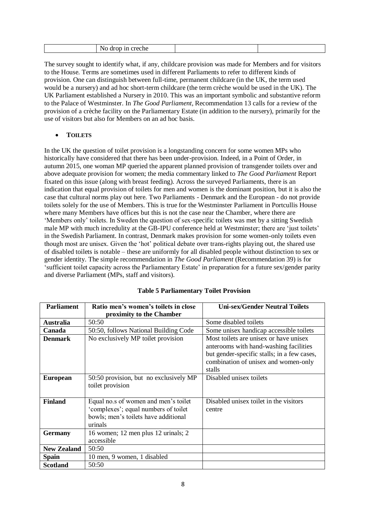| eche<br>DТ<br>ш<br>u vi<br>ັ |
|------------------------------|
|------------------------------|

The survey sought to identify what, if any, childcare provision was made for Members and for visitors to the House. Terms are sometimes used in different Parliaments to refer to different kinds of provision. One can distinguish between full-time, permanent childcare (in the UK, the term used would be a nursery) and ad hoc short-term childcare (the term crèche would be used in the UK). The UK Parliament established a Nursery in 2010. This was an important symbolic and substantive reform to the Palace of Westminster. In *The Good Parliament*, Recommendation 13 calls for a review of the provision of a crèche facility on the Parliamentary Estate (in addition to the nursery), primarily for the use of visitors but also for Members on an ad hoc basis.

# **TOILETS**

In the UK the question of toilet provision is a longstanding concern for some women MPs who historically have considered that there has been under-provision. Indeed, in a Point of Order, in autumn 2015, one woman MP queried the apparent planned provision of transgender toilets over and above adequate provision for women; the media commentary linked to *The Good Parliament* Report fixated on this issue (along with breast feeding). Across the surveyed Parliaments, there is an indication that equal provision of toilets for men and women is the dominant position, but it is also the case that cultural norms play out here. Two Parliaments - Denmark and the European - do not provide toilets solely for the use of Members. This is true for the Westminster Parliament in Portcullis House where many Members have offices but this is not the case near the Chamber, where there are 'Members only' toilets. In Sweden the question of sex-specific toilets was met by a sitting Swedish male MP with much incredulity at the GB-IPU conference held at Westminster; there are 'just toilets' in the Swedish Parliament. In contrast, Denmark makes provision for some women-only toilets even though most are unisex. Given the 'hot' political debate over trans-rights playing out, the shared use of disabled toilets is notable – these are uniformly for all disabled people without distinction to sex or gender identity. The simple recommendation in *The Good Parliament* (Recommendation 39) is for 'sufficient toilet capacity across the Parliamentary Estate' in preparation for a future sex/gender parity and diverse Parliament (MPs, staff and visitors).

| <b>Parliament</b>  | Ratio men's women's toilets in close                                                                                            | <b>Uni-sex/Gender Neutral Toilets</b>                                                                                                                                             |
|--------------------|---------------------------------------------------------------------------------------------------------------------------------|-----------------------------------------------------------------------------------------------------------------------------------------------------------------------------------|
|                    | proximity to the Chamber                                                                                                        |                                                                                                                                                                                   |
| <b>Australia</b>   | 50:50                                                                                                                           | Some disabled toilets                                                                                                                                                             |
| Canada             | 50:50, follows National Building Code                                                                                           | Some unisex handicap accessible toilets                                                                                                                                           |
| <b>Denmark</b>     | No exclusively MP toilet provision                                                                                              | Most toilets are unisex or have unisex<br>anterooms with hand-washing facilities<br>but gender-specific stalls; in a few cases,<br>combination of unisex and women-only<br>stalls |
| <b>European</b>    | 50:50 provision, but no exclusively MP<br>toilet provision                                                                      | Disabled unisex toilets                                                                                                                                                           |
| <b>Finland</b>     | Equal no.s of women and men's toilet<br>'complexes'; equal numbers of toilet<br>bowls; men's toilets have additional<br>urinals | Disabled unisex toilet in the visitors<br>centre                                                                                                                                  |
| <b>Germany</b>     | 16 women; 12 men plus 12 urinals; 2<br>accessible                                                                               |                                                                                                                                                                                   |
| <b>New Zealand</b> | 50:50                                                                                                                           |                                                                                                                                                                                   |
| <b>Spain</b>       | 10 men, 9 women, 1 disabled                                                                                                     |                                                                                                                                                                                   |
| Scotland           | 50:50                                                                                                                           |                                                                                                                                                                                   |

# **Table 5 Parliamentary Toilet Provision**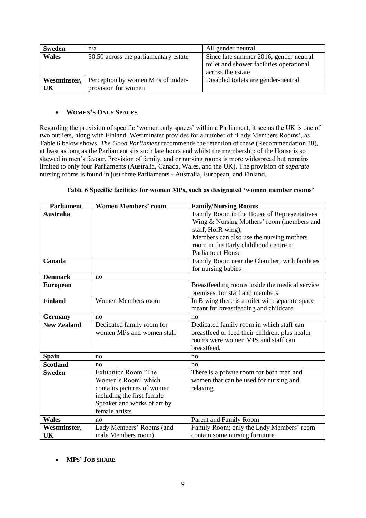| <b>Sweden</b> | n/a                                   | All gender neutral                       |
|---------------|---------------------------------------|------------------------------------------|
| <b>Wales</b>  | 50:50 across the parliamentary estate | Since late summer 2016, gender neutral   |
|               |                                       | toilet and shower facilities operational |
|               |                                       | across the estate                        |
| Westminster,  | Perception by women MPs of under-     | Disabled toilets are gender-neutral      |
| UK            | provision for women                   |                                          |

## **WOMEN'S ONLY SPACES**

Regarding the provision of specific 'women only spaces' within a Parliament, it seems the UK is one of two outliers, along with Finland. Westminster provides for a number of 'Lady Members Rooms', as Table 6 below shows. *The Good Parliament* recommends the retention of these (Recommendation 38), at least as long as the Parliament sits such late hours and whilst the membership of the House is so skewed in men's favour. Provision of family, and or nursing rooms is more widespread but remains limited to only four Parliaments (Australia, Canada, Wales, and the UK). The provision of *separate*  nursing rooms is found in just three Parliaments - Australia, European, and Finland.

| <b>Parliament</b>  | <b>Women Members' room</b>  | <b>Family/Nursing Rooms</b>                     |
|--------------------|-----------------------------|-------------------------------------------------|
| <b>Australia</b>   |                             | Family Room in the House of Representatives     |
|                    |                             | Wing & Nursing Mothers' room (members and       |
|                    |                             | staff, HofR wing);                              |
|                    |                             | Members can also use the nursing mothers        |
|                    |                             | room in the Early childhood centre in           |
|                    |                             | <b>Parliament House</b>                         |
| Canada             |                             | Family Room near the Chamber, with facilities   |
|                    |                             | for nursing babies                              |
| <b>Denmark</b>     | no                          |                                                 |
| <b>European</b>    |                             | Breastfeeding rooms inside the medical service  |
|                    |                             | premises, for staff and members                 |
| <b>Finland</b>     | Women Members room          | In B wing there is a toilet with separate space |
|                    |                             | meant for breastfeeding and childcare           |
| <b>Germany</b>     | no                          | no                                              |
| <b>New Zealand</b> | Dedicated family room for   | Dedicated family room in which staff can        |
|                    | women MPs and women staff   | breastfeed or feed their children; plus health  |
|                    |                             | rooms were women MPs and staff can              |
|                    |                             | breastfeed.                                     |
| <b>Spain</b>       | no                          | no                                              |
| <b>Scotland</b>    | no                          | no                                              |
| <b>Sweden</b>      | <b>Exhibition Room</b> 'The | There is a private room for both men and        |
|                    | Women's Room' which         | women that can be used for nursing and          |
|                    | contains pictures of women  | relaxing                                        |
|                    | including the first female  |                                                 |
|                    | Speaker and works of art by |                                                 |
|                    | female artists              |                                                 |
| <b>Wales</b>       | no                          | Parent and Family Room                          |
| Westminster,       | Lady Members' Rooms (and    | Family Room; only the Lady Members' room        |
| UK                 | male Members room)          | contain some nursing furniture                  |

|  | Table 6 Specific facilities for women MPs, such as designated 'women member rooms' |  |  |  |
|--|------------------------------------------------------------------------------------|--|--|--|
|  |                                                                                    |  |  |  |

# **MPS' JOB SHARE**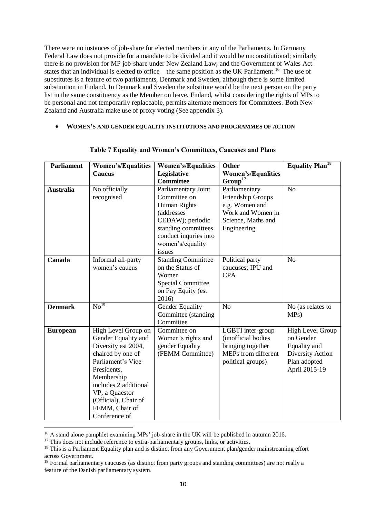There were no instances of job-share for elected members in any of the Parliaments. In Germany Federal Law does not provide for a mandate to be divided and it would be unconstitutional; similarly there is no provision for MP job-share under New Zealand Law; and the Government of Wales Act states that an individual is elected to office – the same position as the UK Parliament.<sup>16</sup> The use of substitutes is a feature of two parliaments, Denmark and Sweden, although there is some limited substitution in Finland. In Denmark and Sweden the substitute would be the next person on the party list in the same constituency as the Member on leave. Finland, whilst considering the rights of MPs to be personal and not temporarily replaceable, permits alternate members for Committees. Both New Zealand and Australia make use of proxy voting (See appendix 3).

**WOMEN'S AND GENDER EQUALITY INSTITUTIONS AND PROGRAMMES OF ACTION** 

| <b>Parliament</b> | <b>Women's/Equalities</b>     | <b>Women's/Equalities</b> | Other                     | <b>Equality Plan</b> <sup>18</sup> |  |
|-------------------|-------------------------------|---------------------------|---------------------------|------------------------------------|--|
|                   | <b>Caucus</b>                 | Legislative               | <b>Women's/Equalities</b> |                                    |  |
|                   |                               | <b>Committee</b>          | Group <sup>17</sup>       |                                    |  |
| <b>Australia</b>  | No officially                 | Parliamentary Joint       | Parliamentary             | N <sub>o</sub>                     |  |
|                   | recognised                    | Committee on              | Friendship Groups         |                                    |  |
|                   |                               | <b>Human Rights</b>       | e.g. Women and            |                                    |  |
|                   |                               | <i>(addresses)</i>        | Work and Women in         |                                    |  |
|                   |                               | CEDAW); periodic          | Science, Maths and        |                                    |  |
|                   |                               | standing committees       | Engineering               |                                    |  |
|                   |                               | conduct inquries into     |                           |                                    |  |
|                   |                               | women's/equality          |                           |                                    |  |
|                   |                               | issues                    |                           |                                    |  |
| Canada            | Informal all-party            | <b>Standing Committee</b> | Political party           | N <sub>o</sub>                     |  |
|                   | women's caucus                | on the Status of          | caucuses; IPU and         |                                    |  |
|                   |                               | Women                     | <b>CPA</b>                |                                    |  |
|                   |                               | <b>Special Committee</b>  |                           |                                    |  |
|                   |                               | on Pay Equity (est        |                           |                                    |  |
|                   |                               | 2016)                     |                           |                                    |  |
| <b>Denmark</b>    | $\overline{\mathrm{No}^{19}}$ | Gender Equality           | N <sub>o</sub>            | No (as relates to                  |  |
|                   |                               | Committee (standing       |                           | MPs)                               |  |
|                   |                               | Committee                 |                           |                                    |  |
| <b>European</b>   | High Level Group on           | Committee on              | LGBTI inter-group         | High Level Group                   |  |
|                   | Gender Equality and           | Women's rights and        | (unofficial bodies        | on Gender                          |  |
|                   | Diversity est 2004,           | gender Equality           | bringing together         | Equality and                       |  |
|                   | chaired by one of             | (FEMM Committee)          | MEPs from different       | Diversity Action                   |  |
|                   | Parliament's Vice-            |                           | political groups)         | Plan adopted                       |  |
|                   | Presidents.                   |                           |                           | April 2015-19                      |  |
|                   | Membership                    |                           |                           |                                    |  |
|                   | includes 2 additional         |                           |                           |                                    |  |
|                   | VP, a Quaestor                |                           |                           |                                    |  |
|                   | (Official), Chair of          |                           |                           |                                    |  |
|                   | FEMM, Chair of                |                           |                           |                                    |  |
|                   | Conference of                 |                           |                           |                                    |  |

#### **Table 7 Equality and Women's Committees, Caucuses and Plans**

1

<sup>&</sup>lt;sup>16</sup> A stand alone pamphlet examining MPs' job-share in the UK will be published in autumn 2016.

<sup>&</sup>lt;sup>17</sup> This does not include reference to extra-parliamentary groups, links, or activities.

<sup>&</sup>lt;sup>18</sup> This is a Parliament Equality plan and is distinct from any Government plan/gender mainstreaming effort across Government.

 $19$  Formal parliamentary caucuses (as distinct from party groups and standing committees) are not really a feature of the Danish parliamentary system.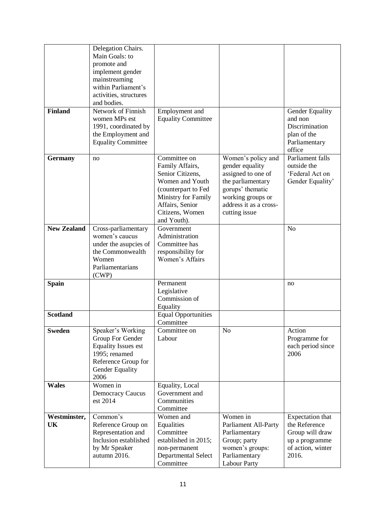|                    | Delegation Chairs.<br>Main Goals: to  |                                       |                                         |                                   |
|--------------------|---------------------------------------|---------------------------------------|-----------------------------------------|-----------------------------------|
|                    | promote and                           |                                       |                                         |                                   |
|                    | implement gender<br>mainstreaming     |                                       |                                         |                                   |
|                    | within Parliament's                   |                                       |                                         |                                   |
|                    | activities, structures                |                                       |                                         |                                   |
|                    | and bodies.                           |                                       |                                         |                                   |
| <b>Finland</b>     | Network of Finnish                    | Employment and                        |                                         | Gender Equality                   |
|                    | women MPs est<br>1991, coordinated by | <b>Equality Committee</b>             |                                         | and non<br>Discrimination         |
|                    | the Employment and                    |                                       |                                         | plan of the                       |
|                    | <b>Equality Committee</b>             |                                       |                                         | Parliamentary                     |
|                    |                                       |                                       |                                         | office                            |
| <b>Germany</b>     | no                                    | Committee on                          | Women's policy and                      | <b>Parliament</b> falls           |
|                    |                                       | Family Affairs,<br>Senior Citizens,   | gender equality<br>assigned to one of   | outside the<br>'Federal Act on    |
|                    |                                       | Women and Youth                       | the parliamentary                       | Gender Equality'                  |
|                    |                                       | (counterpart to Fed                   | gorups' thematic                        |                                   |
|                    |                                       | Ministry for Family                   | working groups or                       |                                   |
|                    |                                       | Affairs, Senior<br>Citizens, Women    | address it as a cross-                  |                                   |
|                    |                                       | and Youth).                           | cutting issue                           |                                   |
| <b>New Zealand</b> | Cross-parliamentary                   | Government                            |                                         | N <sub>o</sub>                    |
|                    | women's caucus                        | Administration                        |                                         |                                   |
|                    | under the asupcies of                 | Committee has                         |                                         |                                   |
|                    | the Commonwealth<br>Women             | responsibility for<br>Women's Affairs |                                         |                                   |
|                    | Parliamentarians                      |                                       |                                         |                                   |
|                    | (CWP)                                 |                                       |                                         |                                   |
| <b>Spain</b>       |                                       | Permanent                             |                                         | no                                |
|                    |                                       | Legislative<br>Commission of          |                                         |                                   |
|                    |                                       | Equality                              |                                         |                                   |
| <b>Scotland</b>    |                                       | <b>Equal Opportunities</b>            |                                         |                                   |
|                    |                                       | Committee                             |                                         |                                   |
| <b>Sweden</b>      | Speaker's Working<br>Group For Gender | Committee on<br>Labour                | N <sub>o</sub>                          | Action<br>Programme for           |
|                    | <b>Equality Issues est</b>            |                                       |                                         | each period since                 |
|                    | 1995; renamed                         |                                       |                                         | 2006                              |
|                    | Reference Group for                   |                                       |                                         |                                   |
|                    | Gender Equality<br>2006               |                                       |                                         |                                   |
| <b>Wales</b>       | Women in                              | Equality, Local                       |                                         |                                   |
|                    | <b>Democracy Caucus</b>               | Government and                        |                                         |                                   |
|                    | est 2014                              | Communities                           |                                         |                                   |
|                    |                                       | Committee                             |                                         |                                   |
| Westminster,<br>UK | Common's<br>Reference Group on        | Women and<br>Equalities               | Women in<br><b>Parliament All-Party</b> | Expectation that<br>the Reference |
|                    | Representation and                    | Committee                             | Parliamentary                           | Group will draw                   |
|                    | Inclusion established                 | established in 2015;                  | Group; party                            | up a programme                    |
|                    | by Mr Speaker                         | non-permanent                         | women's groups:                         | of action, winter                 |
|                    | autumn 2016.                          | Departmental Select<br>Committee      | Parliamentary                           | 2016.                             |
|                    |                                       |                                       | <b>Labour Party</b>                     |                                   |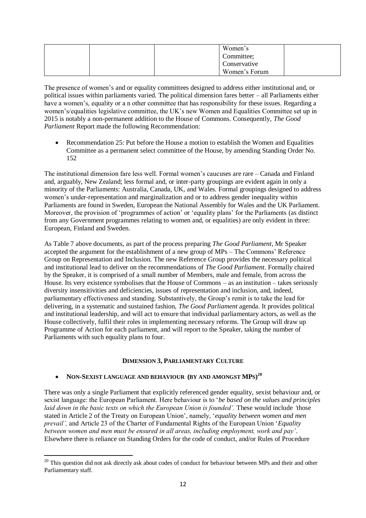|  | Women's       |  |
|--|---------------|--|
|  | Committee;    |  |
|  | Conservative  |  |
|  | Women's Forum |  |

The presence of women's and or equality committees designed to address either institutional and, or political issues within parliaments varied. The political dimension fares better – all Parliaments either have a women's, equality or a n other committee that has responsibility for these issues. Regarding a women's/equalities legislative committee, the UK's new Women and Equalities Committee set up in 2015 is notably a non-permanent addition to the House of Commons. Consequently, *The Good Parliament* Report made the following Recommendation:

• Recommendation 25: Put before the House a motion to establish the Women and Equalities Committee as a permanent select committee of the House, by amending Standing Order No. 152

The institutional dimension fare less well. Formal women's caucuses are rare – Canada and Finland and, arguably, New Zealand; less formal and, or inter-party groupings are evident again in only a minority of the Parliaments: Australia, Canada, UK, and Wales. Formal groupings designed to address women's under-representation and marginalization and or to address gender inequality within Parliaments are found in Sweden, European the National Assembly for Wales and the UK Parliament. Moreover, the provision of 'programmes of action' or 'equality plans' for the Parliaments (as distinct from any Government programmes relating to women and, or equalities) are only evident in three: European, Finland and Sweden.

As Table 7 above documents, as part of the process preparing *The Good Parliament*, Mr Speaker accepted the argument for the establishment of a new group of MPs – The Commons' Reference Group on Representation and Inclusion. The new Reference Group provides the necessary political and institutional lead to deliver on the recommendations of *The Good Parliament*. Formally chaired by the Speaker, it is comprised of a small number of Members, male and female, from across the House. Its very existence symbolises that the House of Commons – as an institution – takes seriously diversity insensitivities and deficiencies, issues of representation and inclusion, and, indeed, parliamentary effectiveness and standing. Substantively, the Group's remit is to take the lead for delivering, in a systematic and sustained fashion, *The Good Parliament* agenda. It provides political and institutional leadership, and will act to ensure that individual parliamentary actors, as well as the House collectively, fulfil their roles in implementing necessary reforms. The Group will draw up Programme of Action for each parliament, and will report to the Speaker, taking the number of Parliaments with such equality plans to four.

# **DIMENSION 3, PARLIAMENTARY CULTURE**

# **NON-SEXIST LANGUAGE AND BEHAVIOUR (BY AND AMONGST MPS) 20**

**.** 

There was only a single Parliament that explicitly referenced gender equality, sexist behaviour and, or sexist language: the European Parliament. Here behaviour is to '*be based on the values and principles laid down in the basic texts on which the European Union is founded'.* These would include *'*those stated in Article 2 of the Treaty on European Union', namely, '*equality between women and men prevail',* and Article 23 of the Charter of Fundamental Rights of the European Union '*Equality between women and men must be ensured in all areas, including employment, work and pay'*. Elsewhere there is reliance on Standing Orders for the code of conduct, and/or Rules of Procedure

<sup>&</sup>lt;sup>20</sup> This question did not ask directly ask about codes of conduct for behaviour between MPs and their and other Parliamentary staff.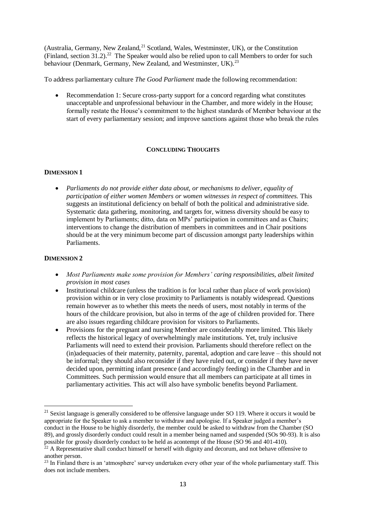(Australia, Germany, New Zealand, $^{21}$  Scotland, Wales, Westminster, UK), or the Constitution (Finland, section  $31.2$ ).<sup>22</sup> The Speaker would also be relied upon to call Members to order for such behaviour (Denmark, Germany, New Zealand, and Westminster, UK).<sup>23</sup>

To address parliamentary culture *The Good Parliament* made the following recommendation:

 Recommendation 1: Secure cross-party support for a concord regarding what constitutes unacceptable and unprofessional behaviour in the Chamber, and more widely in the House; formally restate the House's commitment to the highest standards of Member behaviour at the start of every parliamentary session; and improve sanctions against those who break the rules

# **CONCLUDING THOUGHTS**

## **DIMENSION 1**

 *Parliaments do not provide either data about, or mechanisms to deliver, equality of participation of either women Members or women witnesses in respect of committees.* This suggests an institutional deficiency on behalf of both the political and administrative side. Systematic data gathering, monitoring, and targets for, witness diversity should be easy to implement by Parliaments; ditto, data on MPs' participation in committees and as Chairs; interventions to change the distribution of members in committees and in Chair positions should be at the very minimum become part of discussion amongst party leaderships within Parliaments.

## **DIMENSION 2**

1

- *Most Parliaments make some provision for Members' caring responsibilities, albeit limited provision in most cases*
- Institutional childcare (unless the tradition is for local rather than place of work provision) provision within or in very close proximity to Parliaments is notably widespread. Questions remain however as to whether this meets the needs of users, most notably in terms of the hours of the childcare provision, but also in terms of the age of children provided for. There are also issues regarding childcare provision for visitors to Parliaments.
- Provisions for the pregnant and nursing Member are considerably more limited. This likely reflects the historical legacy of overwhelmingly male institutions. Yet, truly inclusive Parliaments will need to extend their provision. Parliaments should therefore reflect on the (in)adequacies of their maternity, paternity, parental, adoption and care leave – this should not be informal; they should also reconsider if they have ruled out, or consider if they have never decided upon, permitting infant presence (and accordingly feeding) in the Chamber and in Committees. Such permission would ensure that all members can participate at all times in parliamentary activities. This act will also have symbolic benefits beyond Parliament.

<sup>&</sup>lt;sup>21</sup> Sexist language is generally considered to be offensive language under SO 119. Where it occurs it would be appropriate for the Speaker to ask a member to withdraw and apologise. If a Speaker judged a member's conduct in the House to be highly disorderly, the member could be asked to withdraw from the Chamber (SO 89), and grossly disorderly conduct could result in a member being named and suspended (SOs 90-93). It is also possible for grossly disorderly conduct to be held as acontempt of the House (SO 96 and 401-410).

 $^{22}$  A Representative shall conduct himself or herself with dignity and decorum, and not behave offensive to another person.

 $^{23}$  In Finland there is an 'atmosphere' survey undertaken every other year of the whole parliamentary staff. This does not include members.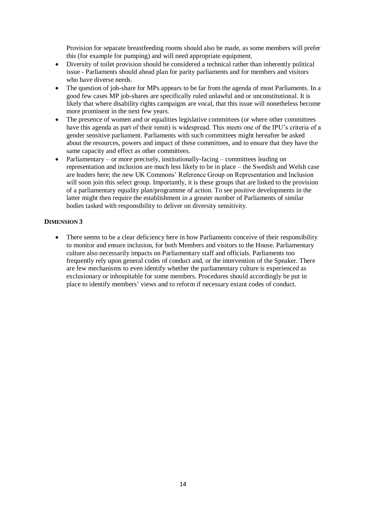Provision for separate breastfeeding rooms should also be made, as some members will prefer this (for example for pumping) and will need appropriate equipment.

- Diversity of toilet provision should be considered a technical rather than inherently political issue - Parliaments should ahead plan for parity parliaments and for members and visitors who have diverse needs.
- The question of job-share for MPs appears to be far from the agenda of most Parliaments. In a good few cases MP job-shares are specifically ruled unlawful and or unconstitutional. It is likely that where disability rights campaigns are vocal, that this issue will nonetheless become more prominent in the next few years.
- The presence of women and or equalities legislative committees (or where other committees have this agenda as part of their remit) is widespread. This meets one of the IPU's criteria of a gender sensitive parliament. Parliaments with such committees might hereafter be asked about the resources, powers and impact of these committees, and to ensure that they have the same capacity and effect as other committees.
- Parliamentary or more precisely, institutionally-facing committees leading on representation and inclusion are much less likely to be in place – the Swedish and Welsh case are leaders here; the new UK Commons' Reference Group on Representation and Inclusion will soon join this select group. Importantly, it is these groups that are linked to the provision of a parliamentary equality plan/programme of action. To see positive developments in the latter might then require the establishment in a greater number of Parliaments of similar bodies tasked with responsibility to deliver on diversity sensitivity.

## **DIMENSION 3**

• There seems to be a clear deficiency here in how Parliaments conceive of their responsibility to monitor and ensure inclusion, for both Members and visitors to the House. Parliamentary culture also necessarily impacts on Parliamentary staff and officials. Parliaments too frequently rely upon general codes of conduct and, or the intervention of the Speaker. There are few mechanisms to even identify whether the parliamentary culture is experienced as exclusionary or inhospitable for some members. Procedures should accordingly be put in place to identify members' views and to reform if necessary extant codes of conduct.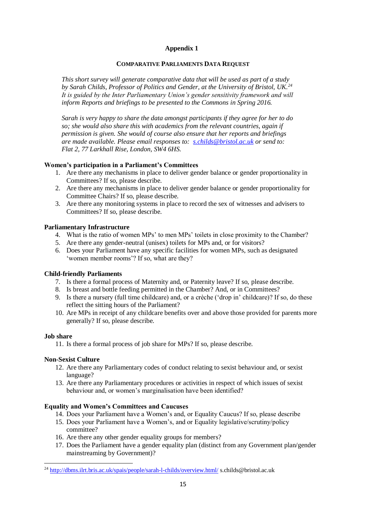# **Appendix 1**

#### **COMPARATIVE PARLIAMENTS DATA REQUEST**

*This short survey will generate comparative data that will be used as part of a study by Sarah Childs, Professor of Politics and Gender, at the University of Bristol, UK.<sup>24</sup> It is guided by the Inter Parliamentary Union's gender sensitivity framework and will inform Reports and briefings to be presented to the Commons in Spring 2016.* 

*Sarah is very happy to share the data amongst participants if they agree for her to do so; she would also share this with academics from the relevant countries, again if permission is given. She would of course also ensure that her reports and briefings are made available. Please email responses to: [s.childs@bristol.ac.uk](mailto:s.childs@bristol.ac.uk) or send to: Flat 2, 77 Larkhall Rise, London, SW4 6HS.*

## **Women's participation in a Parliament's Committees**

- 1. Are there any mechanisms in place to deliver gender balance or gender proportionality in Committees? If so, please describe.
- 2. Are there any mechanisms in place to deliver gender balance or gender proportionality for Committee Chairs? If so, please describe.
- 3. Are there any monitoring systems in place to record the sex of witnesses and advisers to Committees? If so, please describe.

## **Parliamentary Infrastructure**

- 4. What is the ratio of women MPs' to men MPs' toilets in close proximity to the Chamber?
- 5. Are there any gender-neutral (unisex) toilets for MPs and, or for visitors?
- 6. Does your Parliament have any specific facilities for women MPs, such as designated 'women member rooms'? If so, what are they?

#### **Child-friendly Parliaments**

- 7. Is there a formal process of Maternity and, or Paternity leave? If so, please describe.
- 8. Is breast and bottle feeding permitted in the Chamber? And, or in Committees?
- 9. Is there a nursery (full time childcare) and, or a crèche ('drop in' childcare)? If so, do these reflect the sitting hours of the Parliament?
- 10. Are MPs in receipt of any childcare benefits over and above those provided for parents more generally? If so, please describe.

#### **Job share**

**.** 

11. Is there a formal process of job share for MPs? If so, please describe.

## **Non-Sexist Culture**

- 12. Are there any Parliamentary codes of conduct relating to sexist behaviour and, or sexist language?
- 13. Are there any Parliamentary procedures or activities in respect of which issues of sexist behaviour and, or women's marginalisation have been identified?

#### **Equality and Women's Committees and Caucuses**

- 14. Does your Parliament have a Women's and, or Equality Caucus? If so, please describe
- 15. Does your Parliament have a Women's, and or Equality legislative/scrutiny/policy committee?
- 16. Are there any other gender equality groups for members?
- 17. Does the Parliament have a gender equality plan (distinct from any Government plan/gender mainstreaming by Government)?

<sup>&</sup>lt;sup>24</sup> <http://dbms.ilrt.bris.ac.uk/spais/people/sarah-l-childs/overview.html/>s.childs@bristol.ac.uk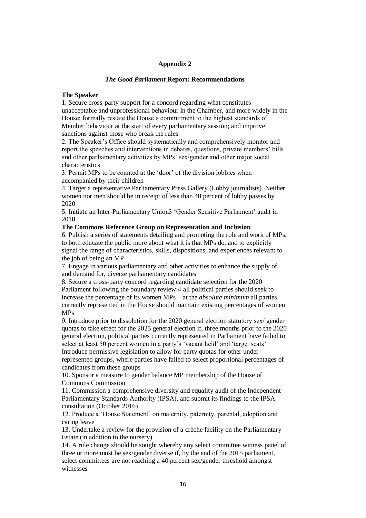#### **Appendix 2**

#### *The Good Parliament* **Report: Recommendations**

#### **The Speaker**

1. Secure cross-party support for a concord regarding what constitutes unacceptable and unprofessional behaviour in the Chamber, and more widely in the House; formally restate the House's commitment to the highest standards of Member behaviour at the start of every parliamentary session; and improve sanctions against those who break the rules

2. The Speaker's Office should systematically and comprehensively monitor and report the speeches and interventions in debates, questions, private members' bills and other parliamentary activities by MPs' sex/gender and other major social characteristics

3. Permit MPs to be counted at the 'door' of the division lobbies when accompanied by their children

4. Target a representative Parliamentary Press Gallery (Lobby journalists). Neither women nor men should be in receipt of less than 40 percent of lobby passes by 2020

5. Initiate an Inter-Parliamentary Union3 'Gender Sensitive Parliament' audit in 2018

## **The Commons Reference Group on Representation and Inclusion**

6. Publish a series of statements detailing and promoting the role and work of MPs, to both educate the public more about what it is that MPs do, and to explicitly signal the range of characteristics, skills, dispositions, and experiences relevant to the job of being an MP

7. Engage in various parliamentary and other activities to enhance the supply of, and demand for, diverse parliamentary candidates

8. Secure a cross-party concord regarding candidate selection for the 2020 Parliament following the boundary review:4 all political parties should seek to increase the percentage of its women MPs – at the *absolute minimum* all parties currently represented in the House should maintain existing percentages of women MPs

9. Introduce prior to dissolution for the 2020 general election statutory sex/ gender quotas to take effect for the 2025 general election if, three months prior to the 2020 general election, political parties currently represented in Parliament have failed to select at least 50 percent women in a party's 'vacant held' and 'target seats'. Introduce permissive legislation to allow for party quotas for other under-

represented groups, where parties have failed to select proportional percentages of candidates from these groups

10. Sponsor a measure to gender balance MP membership of the House of Commons Commission

11. Commission a comprehensive diversity and equality audit of the Independent Parliamentary Standards Authority (IPSA), and submit its findings to the IPSA consultation (October 2016)

12. Produce a 'House Statement' on maternity, paternity, parental, adoption and caring leave

13. Undertake a review for the provision of a crèche facility on the Parliamentary Estate (in addition to the nursery)

14. A rule change should be sought whereby any select committee witness panel of three or more must be sex/gender diverse if, by the end of the 2015 parliament, select committees are not reaching a 40 percent sex/gender threshold amongst witnesses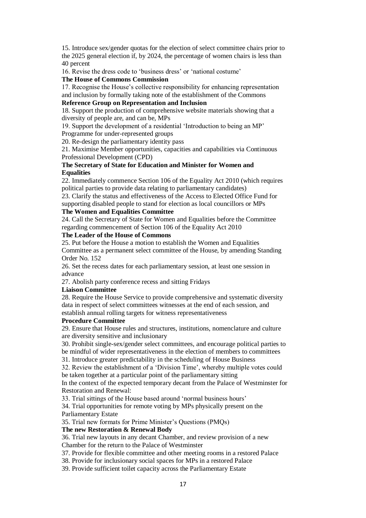15. Introduce sex/gender quotas for the election of select committee chairs prior to the 2025 general election if, by 2024, the percentage of women chairs is less than 40 percent

16. Revise the dress code to 'business dress' or 'national costume'

#### **The House of Commons Commission**

17. Recognise the House's collective responsibility for enhancing representation and inclusion by formally taking note of the establishment of the Commons

#### **Reference Group on Representation and Inclusion**

18. Support the production of comprehensive website materials showing that a diversity of people are, and can be, MPs

19. Support the development of a residential 'Introduction to being an MP' Programme for under-represented groups

20. Re-design the parliamentary identity pass

21. Maximise Member opportunities, capacities and capabilities via Continuous Professional Development (CPD)

## **The Secretary of State for Education and Minister for Women and Equalities**

22. Immediately commence Section 106 of the Equality Act 2010 (which requires political parties to provide data relating to parliamentary candidates)

23. Clarify the status and effectiveness of the Access to Elected Office Fund for supporting disabled people to stand for election as local councillors or MPs

## **The Women and Equalities Committee**

24. Call the Secretary of State for Women and Equalities before the Committee regarding commencement of Section 106 of the Equality Act 2010

#### **The Leader of the House of Commons**

25. Put before the House a motion to establish the Women and Equalities Committee as a permanent select committee of the House, by amending Standing Order No. 152

26. Set the recess dates for each parliamentary session, at least one session in advance

27. Abolish party conference recess and sitting Fridays

#### **Liaison Committee**

28. Require the House Service to provide comprehensive and systematic diversity data in respect of select committees witnesses at the end of each session, and establish annual rolling targets for witness representativeness

#### **Procedure Committee**

29. Ensure that House rules and structures, institutions, nomenclature and culture are diversity sensitive and inclusionary

30. Prohibit single-sex/gender select committees, and encourage political parties to be mindful of wider representativeness in the election of members to committees

31. Introduce greater predictability in the scheduling of House Business

32. Review the establishment of a 'Division Time', whereby multiple votes could be taken together at a particular point of the parliamentary sitting

In the context of the expected temporary decant from the Palace of Westminster for Restoration and Renewal:

33. Trial sittings of the House based around 'normal business hours'

34. Trial opportunities for remote voting by MPs physically present on the Parliamentary Estate

35. Trial new formats for Prime Minister's Questions (PMQs)

#### **The new Restoration & Renewal Body**

36. Trial new layouts in any decant Chamber, and review provision of a new Chamber for the return to the Palace of Westminster

37. Provide for flexible committee and other meeting rooms in a restored Palace

38. Provide for inclusionary social spaces for MPs in a restored Palace

39. Provide sufficient toilet capacity across the Parliamentary Estate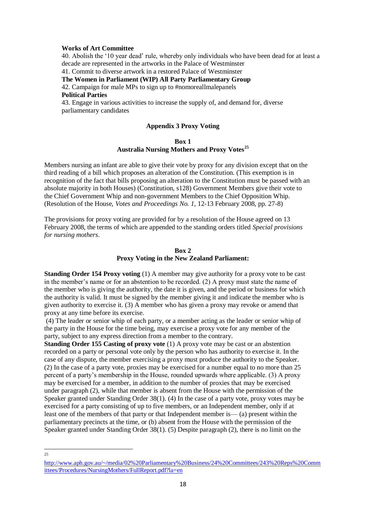#### **Works of Art Committee**

40. Abolish the '10 year dead' rule, whereby only individuals who have been dead for at least a decade are represented in the artworks in the Palace of Westminster 41. Commit to diverse artwork in a restored Palace of Westminster **The Women in Parliament (WIP) All Party Parliamentary Group** 42. Campaign for male MPs to sign up to #nomoreallmalepanels **Political Parties** 43. Engage in various activities to increase the supply of, and demand for, diverse parliamentary candidates

#### **Appendix 3 Proxy Voting**

#### **Box 1 Australia Nursing Mothers and Proxy Votes<sup>25</sup>**

Members nursing an infant are able to give their vote by proxy for any division except that on the third reading of a bill which proposes an alteration of the Constitution. (This exemption is in recognition of the fact that bills proposing an alteration to the Constitution must be passed with an absolute majority in both Houses) (Constitution, s128) Government Members give their vote to the Chief Government Whip and non-government Members to the Chief Opposition Whip. (Resolution of the House, *Votes and Proceedings No. 1,* 12-13 February 2008, pp. 27-8)

The provisions for proxy voting are provided for by a resolution of the House agreed on 13 February 2008, the terms of which are appended to the standing orders titled *Special provisions for nursing mothers*.

#### **Box 2 Proxy Voting in the New Zealand Parliament:**

**Standing Order 154 Proxy voting** (1) A member may give authority for a proxy vote to be cast in the member's name or for an abstention to be recorded. (2) A proxy must state the name of the member who is giving the authority, the date it is given, and the period or business for which the authority is valid. It must be signed by the member giving it and indicate the member who is given authority to exercise it. (3) A member who has given a proxy may revoke or amend that proxy at any time before its exercise.

(4) The leader or senior whip of each party, or a member acting as the leader or senior whip of the party in the House for the time being, may exercise a proxy vote for any member of the party, subject to any express direction from a member to the contrary.

**Standing Order 155 Casting of proxy vote** (1) A proxy vote may be cast or an abstention recorded on a party or personal vote only by the person who has authority to exercise it. In the case of any dispute, the member exercising a proxy must produce the authority to the Speaker. (2) In the case of a party vote, proxies may be exercised for a number equal to no more than 25 percent of a party's membership in the House, rounded upwards where applicable. (3) A proxy may be exercised for a member, in addition to the number of proxies that may be exercised under paragraph (2), while that member is absent from the House with the permission of the Speaker granted under Standing Order 38(1). (4) In the case of a party vote, proxy votes may be exercised for a party consisting of up to five members, or an Independent member, only if at least one of the members of that party or that Independent member is— (a) present within the parliamentary precincts at the time, or (b) absent from the House with the permission of the Speaker granted under Standing Order 38(1). (5) Despite paragraph (2), there is no limit on the

 $\frac{1}{25}$ 

[http://www.aph.gov.au/~/media/02%20Parliamentary%20Business/24%20Committees/243%20Reps%20Comm](http://www.aph.gov.au/~/media/02%20Parliamentary%20Business/24%20Committees/243%20Reps%20Committees/Procedures/NursingMothers/FullReport.pdf?la=en) [ittees/Procedures/NursingMothers/FullReport.pdf?la=en](http://www.aph.gov.au/~/media/02%20Parliamentary%20Business/24%20Committees/243%20Reps%20Committees/Procedures/NursingMothers/FullReport.pdf?la=en)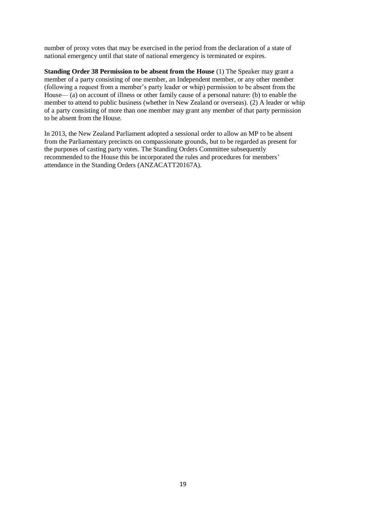number of proxy votes that may be exercised in the period from the declaration of a state of national emergency until that state of national emergency is terminated or expires.

**Standing Order 38 Permission to be absent from the House** (1) The Speaker may grant a member of a party consisting of one member, an Independent member, or any other member (following a request from a member's party leader or whip) permission to be absent from the House— (a) on account of illness or other family cause of a personal nature: (b) to enable the member to attend to public business (whether in New Zealand or overseas). (2) A leader or whip of a party consisting of more than one member may grant any member of that party permission to be absent from the House.

In 2013, the New Zealand Parliament adopted a sessional order to allow an MP to be absent from the Parliamentary precincts on compassionate grounds, but to be regarded as present for the purposes of casting party votes. The Standing Orders Committee subsequently recommended to the House this be incorporated the rules and procedures for members' attendance in the Standing Orders (ANZACATT20167A).